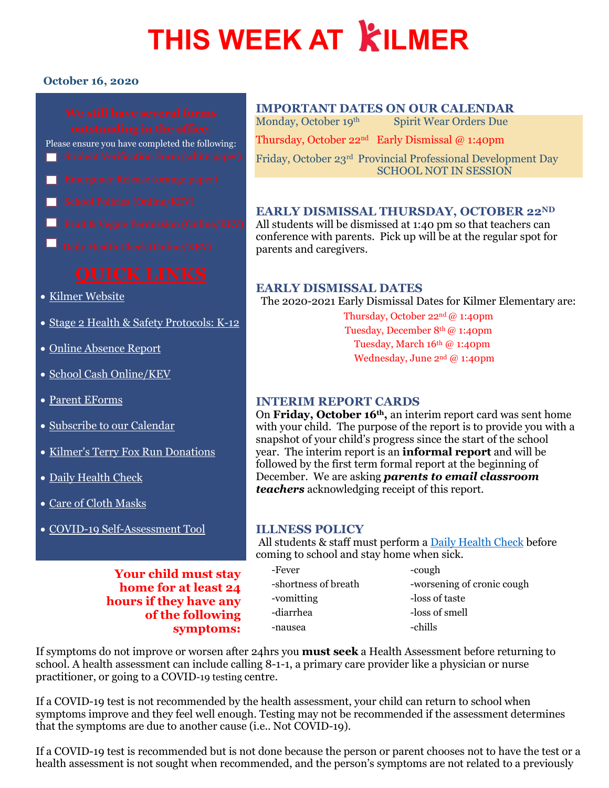# **THIS WEEK AT KILMER**

#### **October 16, 2020**

Please ensure you have completed the following:

- **Emergency Release (orange paper)**
- 
- 
- 

- [Kilmer Website](http://www.sd43.bc.ca/school/kilmer/Pages/default.aspx#/=)
- Stage 2 [Health & Safety Protocols: K-12](https://www.sd43.bc.ca/FAQ/Documents/Health%20%20Safety%20Protocols%20for%20Schools%20Stage%202%20September%2023%202020;%20for%20Parents.pdf)
- [Online Absence Report](https://www2016.sd43.bc.ca/eforms/_layouts/15/FormServer.aspx?XsnLocation=http://www2016.sd43.bc.ca/eforms/AbsenceReportForm/Forms/template.xsn&OpenIn=browser&SaveLocation=http://www2016.sd43.bc.ca/eforms/AbsenceReportForm&Source=http://www2016.sd43.bc.ca/eforms/AbsenceReportForm)
- [School Cash Online/KEV](http://www.schoolcashonline.com/)
- [Parent EForms](http://www.sd43.bc.ca/school/kilmer/Parents/forms/Pages/default.aspx#/=)
- [Subscribe to our Calendar](http://www.sd43.bc.ca/school/kilmer/_LAYOUTS/15/scholantis/handlers/ical/event.ashx?List=0d97a795-418c-4bb3-a2e1-43959499908f&Redirect=true)
- [Kilmer's Terry Fox Run Donations](https://secure.terryfox.ca/registrant/TeamFundraisingPage.aspx?TeamID=915779)
- [Daily Health Check](http://www.sd43.bc.ca/Lists/Documents/2020.09.18%20Daily%20Health%20Check%20Screen%20(English).pdf)
- [Care of Cloth Masks](https://www.sd43.bc.ca/school/kilmer/Documents/Care%20of%20cloth%20masks.pdf)
- [COVID-19 Self-Assessment](https://bc.thrive.health/) Tool

**Your child must stay home for at least 24 hours if they have any of the following symptoms:**

### **IMPORTANT DATES ON OUR CALENDAR**

Monday, October 19<sup>th</sup> Spirit Wear Orders Due

Thursday, October 22<sup>nd</sup> Early Dismissal @ 1:40pm

Friday, October 23rd Provincial Professional Development Day SCHOOL NOT IN SESSION

#### **EARLY DISMISSAL THURSDAY, OCTOBER 22ND**

All students will be dismissed at 1:40 pm so that teachers can conference with parents. Pick up will be at the regular spot for parents and caregivers.

#### **EARLY DISMISSAL DATES**

The 2020-2021 Early Dismissal Dates for Kilmer Elementary are:

Thursday, October 22nd @ 1:40pm Tuesday, December 8th @ 1:40pm Tuesday, March 16th @ 1:40pm Wednesday, June 2nd @ 1:40pm

#### **INTERIM REPORT CARDS**

On **Friday, October 16th,** an interim report card was sent home with your child. The purpose of the report is to provide you with a snapshot of your child's progress since the start of the school year. The interim report is an **informal report** and will be followed by the first term formal report at the beginning of December. We are asking *parents to email classroom teachers* acknowledging receipt of this report.

#### **ILLNESS POLICY**

All students & staff must perform [a Daily Health Check](http://www.sd43.bc.ca/Lists/Documents/2020.09.18%20Daily%20Health%20Check%20Screen%20(English).pdf) before coming to school and stay home when sick.

| -Fever               | -cough                     |
|----------------------|----------------------------|
| -shortness of breath | -worsening of cronic cough |
| -vomitting           | -loss of taste             |
| -diarrhea            | -loss of smell             |
| -nausea              | -chills                    |

If symptoms do not improve or worsen after 24hrs you **must seek** a Health Assessment before returning to school. A health assessment can include calling 8-1-1, a primary care provider like a physician or nurse practitioner, or going to a COVID-19 testing centre.

If a COVID-19 test is not recommended by the health assessment, your child can return to school when symptoms improve and they feel well enough. Testing may not be recommended if the assessment determines that the symptoms are due to another cause (i.e.. Not COVID-19).

If a COVID-19 test is recommended but is not done because the person or parent chooses not to have the test or a health assessment is not sought when recommended, and the person's symptoms are not related to a previously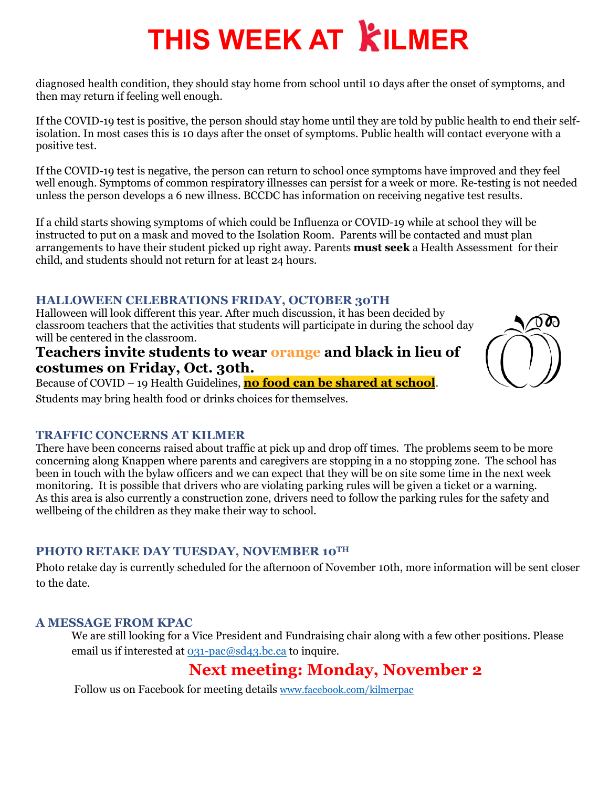## **THIS WEEK AT KILMER**

diagnosed health condition, they should stay home from school until 10 days after the onset of symptoms, and then may return if feeling well enough.

If the COVID-19 test is positive, the person should stay home until they are told by public health to end their selfisolation. In most cases this is 10 days after the onset of symptoms. Public health will contact everyone with a positive test.

If the COVID-19 test is negative, the person can return to school once symptoms have improved and they feel well enough. Symptoms of common respiratory illnesses can persist for a week or more. Re-testing is not needed unless the person develops a 6 new illness. BCCDC has information on receiving negative test results.

If a child starts showing symptoms of which could be Influenza or COVID-19 while at school they will be instructed to put on a mask and moved to the Isolation Room. Parents will be contacted and must plan arrangements to have their student picked up right away. Parents **must seek** a Health Assessment for their child, and students should not return for at least 24 hours.

### **HALLOWEEN CELEBRATIONS FRIDAY, OCTOBER 30TH**

Halloween will look different this year. After much discussion, it has been decided by classroom teachers that the activities that students will participate in during the school day will be centered in the classroom.

**Teachers invite students to wear orange and black in lieu of costumes on Friday, Oct. 30th.**

Because of COVID – 19 Health Guidelines, **no food can be shared at school**. Students may bring health food or drinks choices for themselves.

### **TRAFFIC CONCERNS AT KILMER**

There have been concerns raised about traffic at pick up and drop off times. The problems seem to be more concerning along Knappen where parents and caregivers are stopping in a no stopping zone. The school has been in touch with the bylaw officers and we can expect that they will be on site some time in the next week monitoring. It is possible that drivers who are violating parking rules will be given a ticket or a warning. As this area is also currently a construction zone, drivers need to follow the parking rules for the safety and wellbeing of the children as they make their way to school.

### **PHOTO RETAKE DAY TUESDAY, NOVEMBER 10TH**

Photo retake day is currently scheduled for the afternoon of November 10th, more information will be sent closer to the date.

### **A MESSAGE FROM KPAC**

We are still looking for a Vice President and Fundraising chair along with a few other positions. Please email us if interested at [031-pac@sd43.bc.ca](mailto:031-pac@sd43.bc.ca) to inquire.

### **Next meeting: Monday, November 2**

Follow us on Facebook for meeting details [www.facebook.com/kilmerpac](http://www.facebook.com/kilmerpac)